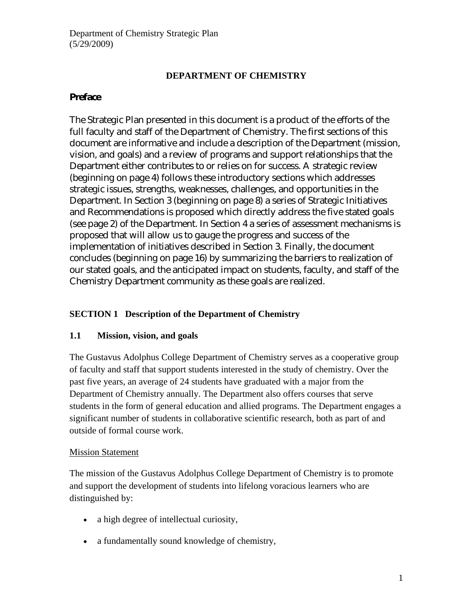## **DEPARTMENT OF CHEMISTRY**

## **Preface**

The Strategic Plan presented in this document is a product of the efforts of the full faculty and staff of the Department of Chemistry. The first sections of this document are informative and include a description of the Department (mission, vision, and goals) and a review of programs and support relationships that the Department either contributes to or relies on for success. A strategic review (beginning on page 4) follows these introductory sections which addresses strategic issues, strengths, weaknesses, challenges, and opportunities in the Department. In Section 3 (beginning on page 8) a series of Strategic Initiatives and Recommendations is proposed which directly address the five stated goals (see page 2) of the Department. In Section 4 a series of assessment mechanisms is proposed that will allow us to gauge the progress and success of the implementation of initiatives described in Section 3. Finally, the document concludes (beginning on page 16) by summarizing the barriers to realization of our stated goals, and the anticipated impact on students, faculty, and staff of the Chemistry Department community as these goals are realized.

## **SECTION 1 Description of the Department of Chemistry**

## **1.1 Mission, vision, and goals**

The Gustavus Adolphus College Department of Chemistry serves as a cooperative group of faculty and staff that support students interested in the study of chemistry. Over the past five years, an average of 24 students have graduated with a major from the Department of Chemistry annually. The Department also offers courses that serve students in the form of general education and allied programs. The Department engages a significant number of students in collaborative scientific research, both as part of and outside of formal course work.

#### **Mission Statement**

The mission of the Gustavus Adolphus College Department of Chemistry is to promote and support the development of students into lifelong voracious learners who are distinguished by:

- a high degree of intellectual curiosity,
- a fundamentally sound knowledge of chemistry,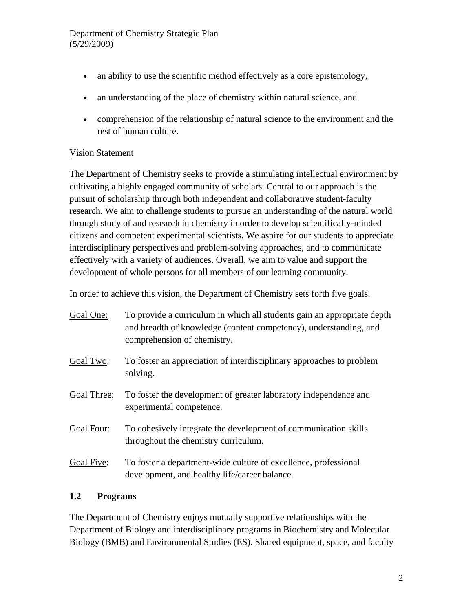- an ability to use the scientific method effectively as a core epistemology,
- an understanding of the place of chemistry within natural science, and
- comprehension of the relationship of natural science to the environment and the rest of human culture.

### Vision Statement

The Department of Chemistry seeks to provide a stimulating intellectual environment by cultivating a highly engaged community of scholars. Central to our approach is the pursuit of scholarship through both independent and collaborative student-faculty research. We aim to challenge students to pursue an understanding of the natural world through study of and research in chemistry in order to develop scientifically-minded citizens and competent experimental scientists. We aspire for our students to appreciate interdisciplinary perspectives and problem-solving approaches, and to communicate effectively with a variety of audiences. Overall, we aim to value and support the development of whole persons for all members of our learning community.

In order to achieve this vision, the Department of Chemistry sets forth five goals.

| Goal One:   | To provide a curriculum in which all students gain an appropriate depth<br>and breadth of knowledge (content competency), understanding, and<br>comprehension of chemistry. |
|-------------|-----------------------------------------------------------------------------------------------------------------------------------------------------------------------------|
| Goal Two:   | To foster an appreciation of interdisciplinary approaches to problem<br>solving.                                                                                            |
| Goal Three: | To foster the development of greater laboratory independence and<br>experimental competence.                                                                                |
| Goal Four:  | To cohesively integrate the development of communication skills<br>throughout the chemistry curriculum.                                                                     |
| Goal Five:  | To foster a department-wide culture of excellence, professional<br>development, and healthy life/career balance.                                                            |

#### **1.2 Programs**

The Department of Chemistry enjoys mutually supportive relationships with the Department of Biology and interdisciplinary programs in Biochemistry and Molecular Biology (BMB) and Environmental Studies (ES). Shared equipment, space, and faculty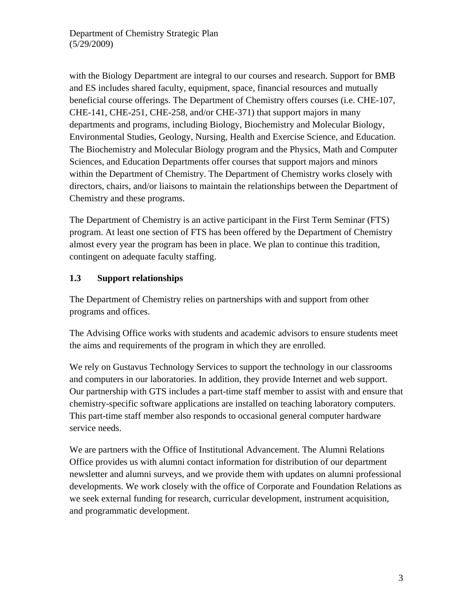with the Biology Department are integral to our courses and research. Support for BMB and ES includes shared faculty, equipment, space, financial resources and mutually beneficial course offerings. The Department of Chemistry offers courses (i.e. CHE-107, CHE-141, CHE-251, CHE-258, and/or CHE-371) that support majors in many departments and programs, including Biology, Biochemistry and Molecular Biology, Environmental Studies, Geology, Nursing, Health and Exercise Science, and Education. The Biochemistry and Molecular Biology program and the Physics, Math and Computer Sciences, and Education Departments offer courses that support majors and minors within the Department of Chemistry. The Department of Chemistry works closely with directors, chairs, and/or liaisons to maintain the relationships between the Department of Chemistry and these programs.

The Department of Chemistry is an active participant in the First Term Seminar (FTS) program. At least one section of FTS has been offered by the Department of Chemistry almost every year the program has been in place. We plan to continue this tradition, contingent on adequate faculty staffing.

## **1.3 Support relationships**

The Department of Chemistry relies on partnerships with and support from other programs and offices.

The Advising Office works with students and academic advisors to ensure students meet the aims and requirements of the program in which they are enrolled.

We rely on Gustavus Technology Services to support the technology in our classrooms and computers in our laboratories. In addition, they provide Internet and web support. Our partnership with GTS includes a part-time staff member to assist with and ensure that chemistry-specific software applications are installed on teaching laboratory computers. This part-time staff member also responds to occasional general computer hardware service needs.

We are partners with the Office of Institutional Advancement. The Alumni Relations Office provides us with alumni contact information for distribution of our department newsletter and alumni surveys, and we provide them with updates on alumni professional developments. We work closely with the office of Corporate and Foundation Relations as we seek external funding for research, curricular development, instrument acquisition, and programmatic development.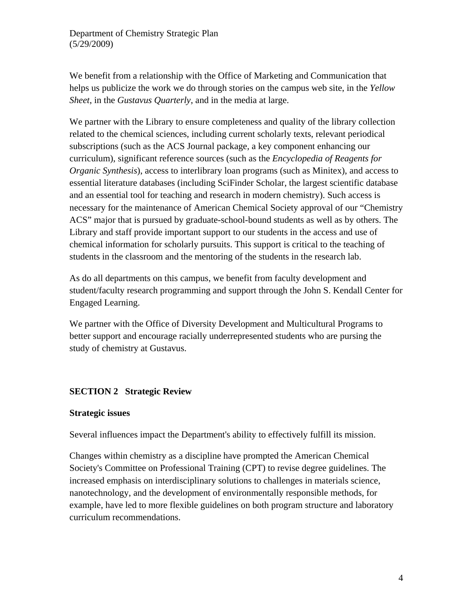We benefit from a relationship with the Office of Marketing and Communication that helps us publicize the work we do through stories on the campus web site, in the *Yellow Sheet*, in the *Gustavus Quarterly*, and in the media at large.

We partner with the Library to ensure completeness and quality of the library collection related to the chemical sciences, including current scholarly texts, relevant periodical subscriptions (such as the ACS Journal package, a key component enhancing our curriculum), significant reference sources (such as the *Encyclopedia of Reagents for Organic Synthesis*), access to interlibrary loan programs (such as Minitex), and access to essential literature databases (including SciFinder Scholar, the largest scientific database and an essential tool for teaching and research in modern chemistry). Such access is necessary for the maintenance of American Chemical Society approval of our "Chemistry ACS" major that is pursued by graduate-school-bound students as well as by others. The Library and staff provide important support to our students in the access and use of chemical information for scholarly pursuits. This support is critical to the teaching of students in the classroom and the mentoring of the students in the research lab.

As do all departments on this campus, we benefit from faculty development and student/faculty research programming and support through the John S. Kendall Center for Engaged Learning.

We partner with the Office of Diversity Development and Multicultural Programs to better support and encourage racially underrepresented students who are pursing the study of chemistry at Gustavus.

## **SECTION 2 Strategic Review**

#### **Strategic issues**

Several influences impact the Department's ability to effectively fulfill its mission.

Changes within chemistry as a discipline have prompted the American Chemical Society's Committee on Professional Training (CPT) to revise degree guidelines. The increased emphasis on interdisciplinary solutions to challenges in materials science, nanotechnology, and the development of environmentally responsible methods, for example, have led to more flexible guidelines on both program structure and laboratory curriculum recommendations.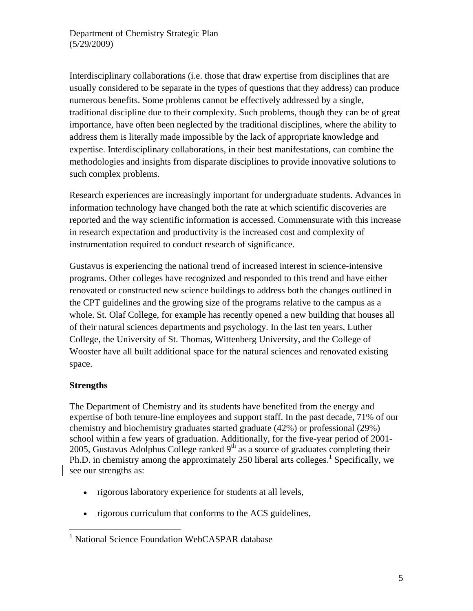Interdisciplinary collaborations (i.e. those that draw expertise from disciplines that are usually considered to be separate in the types of questions that they address) can produce numerous benefits. Some problems cannot be effectively addressed by a single, traditional discipline due to their complexity. Such problems, though they can be of great importance, have often been neglected by the traditional disciplines, where the ability to address them is literally made impossible by the lack of appropriate knowledge and expertise. Interdisciplinary collaborations, in their best manifestations, can combine the methodologies and insights from disparate disciplines to provide innovative solutions to such complex problems.

Research experiences are increasingly important for undergraduate students. Advances in information technology have changed both the rate at which scientific discoveries are reported and the way scientific information is accessed. Commensurate with this increase in research expectation and productivity is the increased cost and complexity of instrumentation required to conduct research of significance.

Gustavus is experiencing the national trend of increased interest in science-intensive programs. Other colleges have recognized and responded to this trend and have either renovated or constructed new science buildings to address both the changes outlined in the CPT guidelines and the growing size of the programs relative to the campus as a whole. St. Olaf College, for example has recently opened a new building that houses all of their natural sciences departments and psychology. In the last ten years, Luther College, the University of St. Thomas, Wittenberg University, and the College of Wooster have all built additional space for the natural sciences and renovated existing space.

#### **Strengths**

 $\overline{a}$ 

The Department of Chemistry and its students have benefited from the energy and expertise of both tenure-line employees and support staff. In the past decade, 71% of our chemistry and biochemistry graduates started graduate (42%) or professional (29%) school within a few years of graduation. Additionally, for the five-year period of 2001- 2005, Gustavus Adolphus College ranked  $9<sup>th</sup>$  as a source of graduates completing their Ph.D. in chemistry among the approximately 250 liberal arts colleges.<sup>1</sup> Specifically, we see our strengths as:

- rigorous laboratory experience for students at all levels,
- rigorous curriculum that conforms to the ACS guidelines,

<sup>&</sup>lt;sup>1</sup> National Science Foundation WebCASPAR database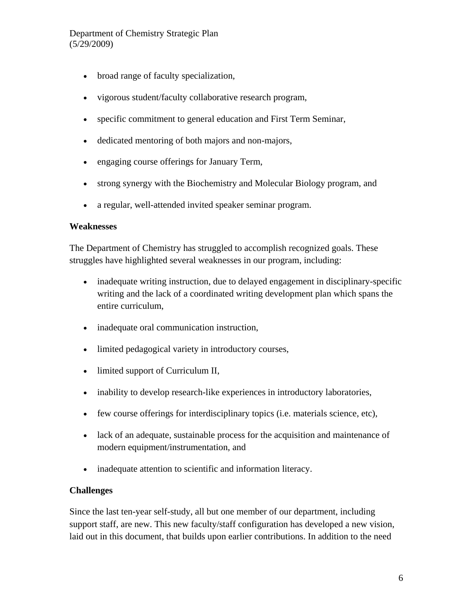- broad range of faculty specialization,
- vigorous student/faculty collaborative research program,
- specific commitment to general education and First Term Seminar,
- dedicated mentoring of both majors and non-majors,
- engaging course offerings for January Term,
- strong synergy with the Biochemistry and Molecular Biology program, and
- a regular, well-attended invited speaker seminar program.

#### **Weaknesses**

The Department of Chemistry has struggled to accomplish recognized goals. These struggles have highlighted several weaknesses in our program, including:

- inadequate writing instruction, due to delayed engagement in disciplinary-specific writing and the lack of a coordinated writing development plan which spans the entire curriculum,
- inadequate oral communication instruction,
- limited pedagogical variety in introductory courses,
- limited support of Curriculum II,
- inability to develop research-like experiences in introductory laboratories,
- few course offerings for interdisciplinary topics (i.e. materials science, etc),
- lack of an adequate, sustainable process for the acquisition and maintenance of modern equipment/instrumentation, and
- inadequate attention to scientific and information literacy.

#### **Challenges**

Since the last ten-year self-study, all but one member of our department, including support staff, are new. This new faculty/staff configuration has developed a new vision, laid out in this document, that builds upon earlier contributions. In addition to the need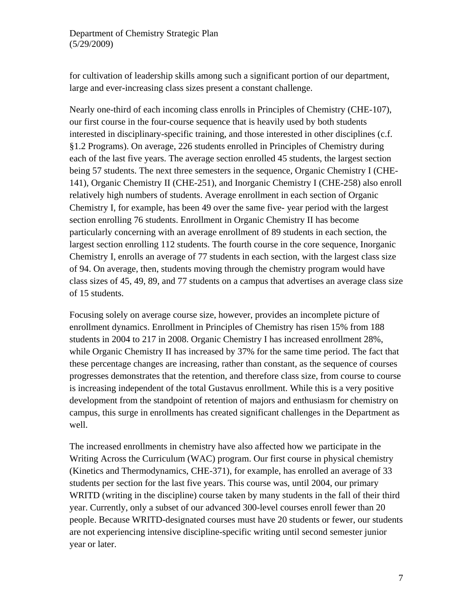for cultivation of leadership skills among such a significant portion of our department, large and ever-increasing class sizes present a constant challenge.

Nearly one-third of each incoming class enrolls in Principles of Chemistry (CHE-107), our first course in the four-course sequence that is heavily used by both students interested in disciplinary-specific training, and those interested in other disciplines (c.f. §1.2 Programs). On average, 226 students enrolled in Principles of Chemistry during each of the last five years. The average section enrolled 45 students, the largest section being 57 students. The next three semesters in the sequence, Organic Chemistry I (CHE-141), Organic Chemistry II (CHE-251), and Inorganic Chemistry I (CHE-258) also enroll relatively high numbers of students. Average enrollment in each section of Organic Chemistry I, for example, has been 49 over the same five- year period with the largest section enrolling 76 students. Enrollment in Organic Chemistry II has become particularly concerning with an average enrollment of 89 students in each section, the largest section enrolling 112 students. The fourth course in the core sequence, Inorganic Chemistry I, enrolls an average of 77 students in each section, with the largest class size of 94. On average, then, students moving through the chemistry program would have class sizes of 45, 49, 89, and 77 students on a campus that advertises an average class size of 15 students.

Focusing solely on average course size, however, provides an incomplete picture of enrollment dynamics. Enrollment in Principles of Chemistry has risen 15% from 188 students in 2004 to 217 in 2008. Organic Chemistry I has increased enrollment 28%, while Organic Chemistry II has increased by 37% for the same time period. The fact that these percentage changes are increasing, rather than constant, as the sequence of courses progresses demonstrates that the retention, and therefore class size, from course to course is increasing independent of the total Gustavus enrollment. While this is a very positive development from the standpoint of retention of majors and enthusiasm for chemistry on campus, this surge in enrollments has created significant challenges in the Department as well.

The increased enrollments in chemistry have also affected how we participate in the Writing Across the Curriculum (WAC) program. Our first course in physical chemistry (Kinetics and Thermodynamics, CHE-371), for example, has enrolled an average of 33 students per section for the last five years. This course was, until 2004, our primary WRITD (writing in the discipline) course taken by many students in the fall of their third year. Currently, only a subset of our advanced 300-level courses enroll fewer than 20 people. Because WRITD-designated courses must have 20 students or fewer, our students are not experiencing intensive discipline-specific writing until second semester junior year or later.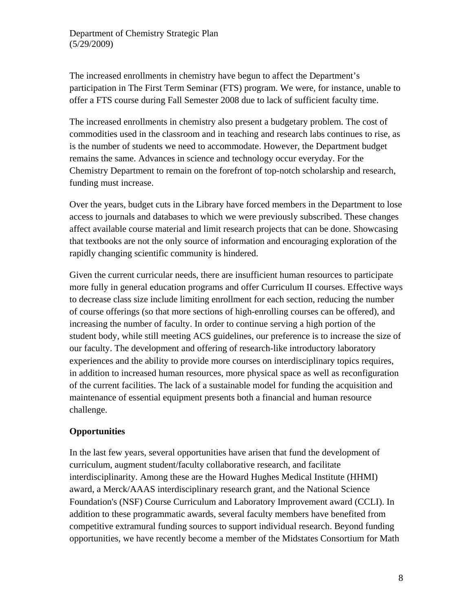The increased enrollments in chemistry have begun to affect the Department's participation in The First Term Seminar (FTS) program. We were, for instance, unable to offer a FTS course during Fall Semester 2008 due to lack of sufficient faculty time.

The increased enrollments in chemistry also present a budgetary problem. The cost of commodities used in the classroom and in teaching and research labs continues to rise, as is the number of students we need to accommodate. However, the Department budget remains the same. Advances in science and technology occur everyday. For the Chemistry Department to remain on the forefront of top-notch scholarship and research, funding must increase.

Over the years, budget cuts in the Library have forced members in the Department to lose access to journals and databases to which we were previously subscribed. These changes affect available course material and limit research projects that can be done. Showcasing that textbooks are not the only source of information and encouraging exploration of the rapidly changing scientific community is hindered.

Given the current curricular needs, there are insufficient human resources to participate more fully in general education programs and offer Curriculum II courses. Effective ways to decrease class size include limiting enrollment for each section, reducing the number of course offerings (so that more sections of high-enrolling courses can be offered), and increasing the number of faculty. In order to continue serving a high portion of the student body, while still meeting ACS guidelines, our preference is to increase the size of our faculty. The development and offering of research-like introductory laboratory experiences and the ability to provide more courses on interdisciplinary topics requires, in addition to increased human resources, more physical space as well as reconfiguration of the current facilities. The lack of a sustainable model for funding the acquisition and maintenance of essential equipment presents both a financial and human resource challenge.

## **Opportunities**

In the last few years, several opportunities have arisen that fund the development of curriculum, augment student/faculty collaborative research, and facilitate interdisciplinarity. Among these are the Howard Hughes Medical Institute (HHMI) award, a Merck/AAAS interdisciplinary research grant, and the National Science Foundation's (NSF) Course Curriculum and Laboratory Improvement award (CCLI). In addition to these programmatic awards, several faculty members have benefited from competitive extramural funding sources to support individual research. Beyond funding opportunities, we have recently become a member of the Midstates Consortium for Math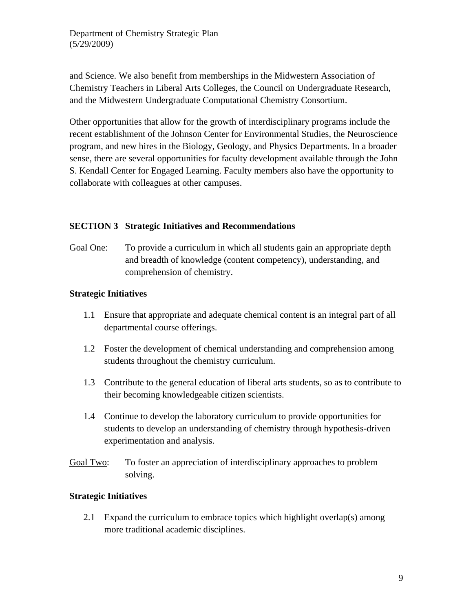and Science. We also benefit from memberships in the Midwestern Association of Chemistry Teachers in Liberal Arts Colleges, the Council on Undergraduate Research, and the Midwestern Undergraduate Computational Chemistry Consortium.

Other opportunities that allow for the growth of interdisciplinary programs include the recent establishment of the Johnson Center for Environmental Studies, the Neuroscience program, and new hires in the Biology, Geology, and Physics Departments. In a broader sense, there are several opportunities for faculty development available through the John S. Kendall Center for Engaged Learning. Faculty members also have the opportunity to collaborate with colleagues at other campuses.

### **SECTION 3 Strategic Initiatives and Recommendations**

Goal One: To provide a curriculum in which all students gain an appropriate depth and breadth of knowledge (content competency), understanding, and comprehension of chemistry.

## **Strategic Initiatives**

- 1.1 Ensure that appropriate and adequate chemical content is an integral part of all departmental course offerings.
- 1.2 Foster the development of chemical understanding and comprehension among students throughout the chemistry curriculum.
- 1.3 Contribute to the general education of liberal arts students, so as to contribute to their becoming knowledgeable citizen scientists.
- 1.4 Continue to develop the laboratory curriculum to provide opportunities for students to develop an understanding of chemistry through hypothesis-driven experimentation and analysis.
- Goal Two: To foster an appreciation of interdisciplinary approaches to problem solving.

## **Strategic Initiatives**

2.1 Expand the curriculum to embrace topics which highlight overlap(s) among more traditional academic disciplines.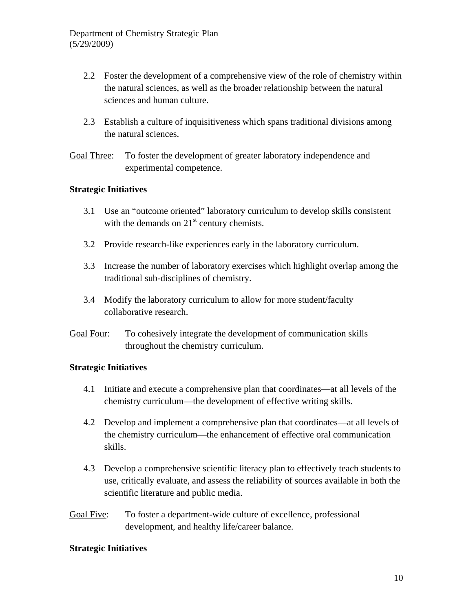- 2.2 Foster the development of a comprehensive view of the role of chemistry within the natural sciences, as well as the broader relationship between the natural sciences and human culture.
- 2.3 Establish a culture of inquisitiveness which spans traditional divisions among the natural sciences.

Goal Three: To foster the development of greater laboratory independence and experimental competence.

#### **Strategic Initiatives**

- 3.1 Use an "outcome oriented" laboratory curriculum to develop skills consistent with the demands on  $21<sup>st</sup>$  century chemists.
- 3.2 Provide research-like experiences early in the laboratory curriculum.
- 3.3 Increase the number of laboratory exercises which highlight overlap among the traditional sub-disciplines of chemistry.
- 3.4 Modify the laboratory curriculum to allow for more student/faculty collaborative research.
- Goal Four: To cohesively integrate the development of communication skills throughout the chemistry curriculum.

## **Strategic Initiatives**

- 4.1 Initiate and execute a comprehensive plan that coordinates—at all levels of the chemistry curriculum—the development of effective writing skills.
- 4.2 Develop and implement a comprehensive plan that coordinates—at all levels of the chemistry curriculum—the enhancement of effective oral communication skills.
- 4.3 Develop a comprehensive scientific literacy plan to effectively teach students to use, critically evaluate, and assess the reliability of sources available in both the scientific literature and public media.
- Goal Five: To foster a department-wide culture of excellence, professional development, and healthy life/career balance.

#### **Strategic Initiatives**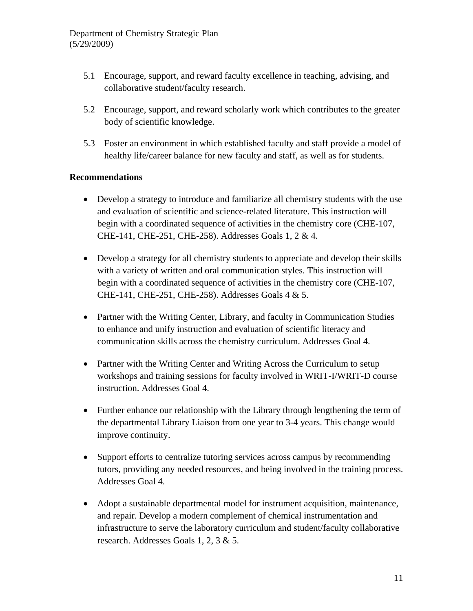- 5.1 Encourage, support, and reward faculty excellence in teaching, advising, and collaborative student/faculty research.
- 5.2 Encourage, support, and reward scholarly work which contributes to the greater body of scientific knowledge.
- 5.3 Foster an environment in which established faculty and staff provide a model of healthy life/career balance for new faculty and staff, as well as for students.

### **Recommendations**

- Develop a strategy to introduce and familiarize all chemistry students with the use and evaluation of scientific and science-related literature. This instruction will begin with a coordinated sequence of activities in the chemistry core (CHE-107, CHE-141, CHE-251, CHE-258). Addresses Goals 1, 2 & 4.
- Develop a strategy for all chemistry students to appreciate and develop their skills with a variety of written and oral communication styles. This instruction will begin with a coordinated sequence of activities in the chemistry core (CHE-107, CHE-141, CHE-251, CHE-258). Addresses Goals 4 & 5.
- Partner with the Writing Center, Library, and faculty in Communication Studies to enhance and unify instruction and evaluation of scientific literacy and communication skills across the chemistry curriculum. Addresses Goal 4.
- Partner with the Writing Center and Writing Across the Curriculum to setup workshops and training sessions for faculty involved in WRIT-I/WRIT-D course instruction. Addresses Goal 4.
- Further enhance our relationship with the Library through lengthening the term of the departmental Library Liaison from one year to 3-4 years. This change would improve continuity.
- Support efforts to centralize tutoring services across campus by recommending tutors, providing any needed resources, and being involved in the training process. Addresses Goal 4.
- Adopt a sustainable departmental model for instrument acquisition, maintenance, and repair. Develop a modern complement of chemical instrumentation and infrastructure to serve the laboratory curriculum and student/faculty collaborative research. Addresses Goals 1, 2, 3 & 5.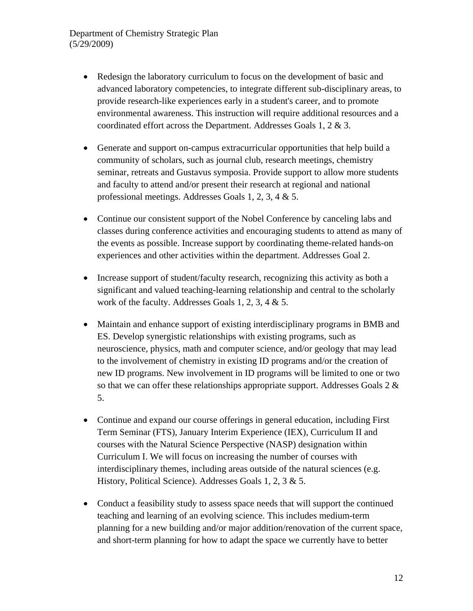- Redesign the laboratory curriculum to focus on the development of basic and advanced laboratory competencies, to integrate different sub-disciplinary areas, to provide research-like experiences early in a student's career, and to promote environmental awareness. This instruction will require additional resources and a coordinated effort across the Department. Addresses Goals 1, 2 & 3.
- Generate and support on-campus extracurricular opportunities that help build a community of scholars, such as journal club, research meetings, chemistry seminar, retreats and Gustavus symposia. Provide support to allow more students and faculty to attend and/or present their research at regional and national professional meetings. Addresses Goals 1, 2, 3, 4 & 5.
- Continue our consistent support of the Nobel Conference by canceling labs and classes during conference activities and encouraging students to attend as many of the events as possible. Increase support by coordinating theme-related hands-on experiences and other activities within the department. Addresses Goal 2.
- Increase support of student/faculty research, recognizing this activity as both a significant and valued teaching-learning relationship and central to the scholarly work of the faculty. Addresses Goals 1, 2, 3, 4 & 5.
- Maintain and enhance support of existing interdisciplinary programs in BMB and ES. Develop synergistic relationships with existing programs, such as neuroscience, physics, math and computer science, and/or geology that may lead to the involvement of chemistry in existing ID programs and/or the creation of new ID programs. New involvement in ID programs will be limited to one or two so that we can offer these relationships appropriate support. Addresses Goals 2 & 5.
- Continue and expand our course offerings in general education, including First Term Seminar (FTS), January Interim Experience (IEX), Curriculum II and courses with the Natural Science Perspective (NASP) designation within Curriculum I. We will focus on increasing the number of courses with interdisciplinary themes, including areas outside of the natural sciences (e.g. History, Political Science). Addresses Goals 1, 2, 3 & 5.
- Conduct a feasibility study to assess space needs that will support the continued teaching and learning of an evolving science. This includes medium-term planning for a new building and/or major addition/renovation of the current space, and short-term planning for how to adapt the space we currently have to better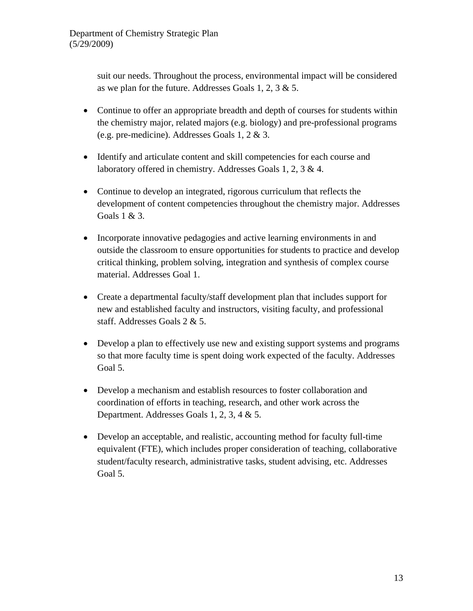suit our needs. Throughout the process, environmental impact will be considered as we plan for the future. Addresses Goals 1, 2, 3 & 5.

- Continue to offer an appropriate breadth and depth of courses for students within the chemistry major, related majors (e.g. biology) and pre-professional programs (e.g. pre-medicine). Addresses Goals 1, 2 & 3.
- Identify and articulate content and skill competencies for each course and laboratory offered in chemistry. Addresses Goals 1, 2, 3 & 4.
- Continue to develop an integrated, rigorous curriculum that reflects the development of content competencies throughout the chemistry major. Addresses Goals 1 & 3.
- Incorporate innovative pedagogies and active learning environments in and outside the classroom to ensure opportunities for students to practice and develop critical thinking, problem solving, integration and synthesis of complex course material. Addresses Goal 1.
- Create a departmental faculty/staff development plan that includes support for new and established faculty and instructors, visiting faculty, and professional staff. Addresses Goals 2 & 5.
- Develop a plan to effectively use new and existing support systems and programs so that more faculty time is spent doing work expected of the faculty. Addresses Goal 5.
- Develop a mechanism and establish resources to foster collaboration and coordination of efforts in teaching, research, and other work across the Department. Addresses Goals 1, 2, 3, 4 & 5.
- Develop an acceptable, and realistic, accounting method for faculty full-time equivalent (FTE), which includes proper consideration of teaching, collaborative student/faculty research, administrative tasks, student advising, etc. Addresses Goal 5.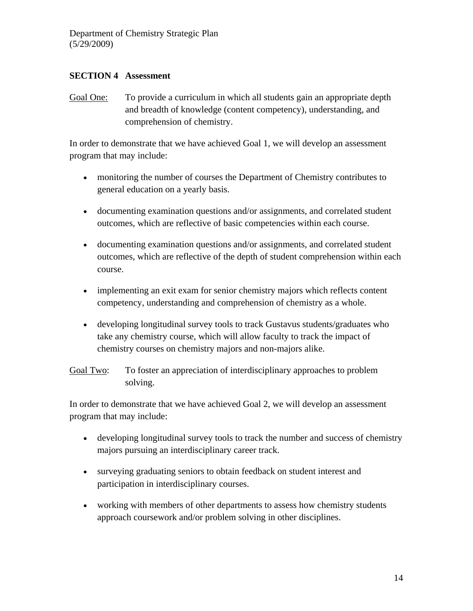#### **SECTION 4 Assessment**

Goal One: To provide a curriculum in which all students gain an appropriate depth and breadth of knowledge (content competency), understanding, and comprehension of chemistry.

In order to demonstrate that we have achieved Goal 1, we will develop an assessment program that may include:

- monitoring the number of courses the Department of Chemistry contributes to general education on a yearly basis.
- documenting examination questions and/or assignments, and correlated student outcomes, which are reflective of basic competencies within each course.
- documenting examination questions and/or assignments, and correlated student outcomes, which are reflective of the depth of student comprehension within each course.
- implementing an exit exam for senior chemistry majors which reflects content competency, understanding and comprehension of chemistry as a whole.
- developing longitudinal survey tools to track Gustavus students/graduates who take any chemistry course, which will allow faculty to track the impact of chemistry courses on chemistry majors and non-majors alike.

Goal Two: To foster an appreciation of interdisciplinary approaches to problem solving.

In order to demonstrate that we have achieved Goal 2, we will develop an assessment program that may include:

- developing longitudinal survey tools to track the number and success of chemistry majors pursuing an interdisciplinary career track.
- surveying graduating seniors to obtain feedback on student interest and participation in interdisciplinary courses.
- working with members of other departments to assess how chemistry students approach coursework and/or problem solving in other disciplines.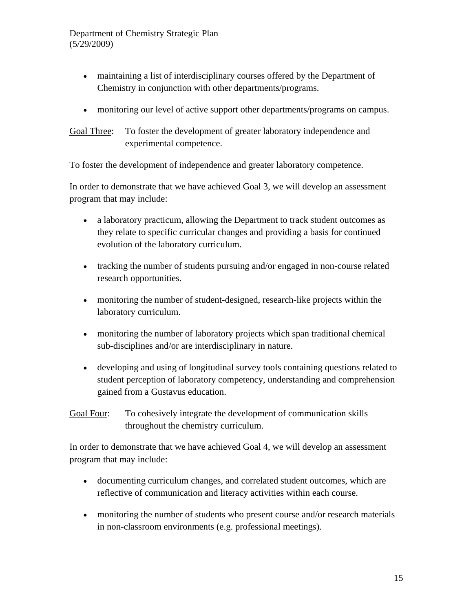- maintaining a list of interdisciplinary courses offered by the Department of Chemistry in conjunction with other departments/programs.
- monitoring our level of active support other departments/programs on campus.

Goal Three: To foster the development of greater laboratory independence and experimental competence.

To foster the development of independence and greater laboratory competence.

In order to demonstrate that we have achieved Goal 3, we will develop an assessment program that may include:

- a laboratory practicum, allowing the Department to track student outcomes as they relate to specific curricular changes and providing a basis for continued evolution of the laboratory curriculum.
- tracking the number of students pursuing and/or engaged in non-course related research opportunities.
- monitoring the number of student-designed, research-like projects within the laboratory curriculum.
- monitoring the number of laboratory projects which span traditional chemical sub-disciplines and/or are interdisciplinary in nature.
- developing and using of longitudinal survey tools containing questions related to student perception of laboratory competency, understanding and comprehension gained from a Gustavus education.
- Goal Four: To cohesively integrate the development of communication skills throughout the chemistry curriculum.

In order to demonstrate that we have achieved Goal 4, we will develop an assessment program that may include:

- documenting curriculum changes, and correlated student outcomes, which are reflective of communication and literacy activities within each course.
- monitoring the number of students who present course and/or research materials in non-classroom environments (e.g. professional meetings).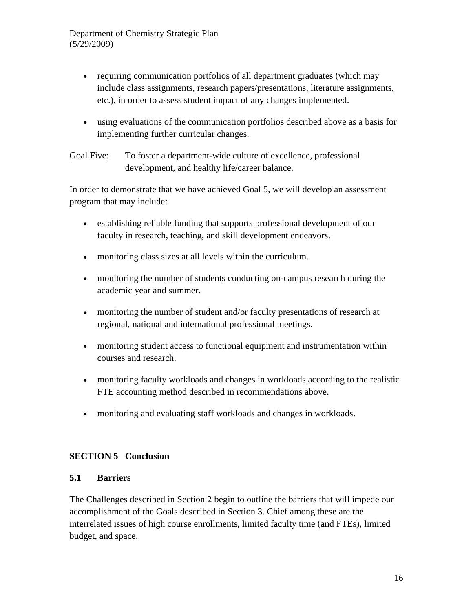- requiring communication portfolios of all department graduates (which may include class assignments, research papers/presentations, literature assignments, etc.), in order to assess student impact of any changes implemented.
- using evaluations of the communication portfolios described above as a basis for implementing further curricular changes.

Goal Five: To foster a department-wide culture of excellence, professional development, and healthy life/career balance.

In order to demonstrate that we have achieved Goal 5, we will develop an assessment program that may include:

- establishing reliable funding that supports professional development of our faculty in research, teaching, and skill development endeavors.
- monitoring class sizes at all levels within the curriculum.
- monitoring the number of students conducting on-campus research during the academic year and summer.
- monitoring the number of student and/or faculty presentations of research at regional, national and international professional meetings.
- monitoring student access to functional equipment and instrumentation within courses and research.
- monitoring faculty workloads and changes in workloads according to the realistic FTE accounting method described in recommendations above.
- monitoring and evaluating staff workloads and changes in workloads.

## **SECTION 5 Conclusion**

#### **5.1 Barriers**

The Challenges described in Section 2 begin to outline the barriers that will impede our accomplishment of the Goals described in Section 3. Chief among these are the interrelated issues of high course enrollments, limited faculty time (and FTEs), limited budget, and space.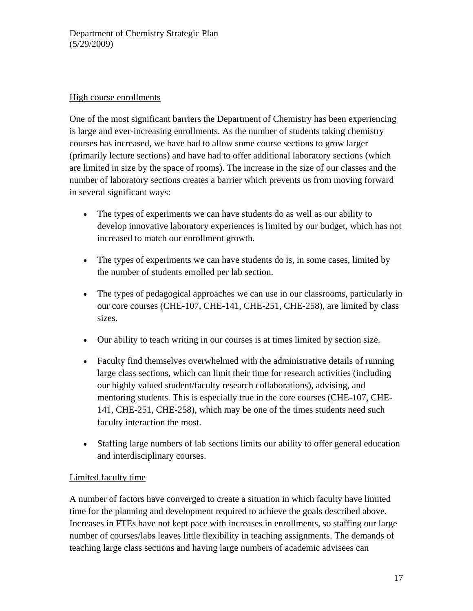### High course enrollments

One of the most significant barriers the Department of Chemistry has been experiencing is large and ever-increasing enrollments. As the number of students taking chemistry courses has increased, we have had to allow some course sections to grow larger (primarily lecture sections) and have had to offer additional laboratory sections (which are limited in size by the space of rooms). The increase in the size of our classes and the number of laboratory sections creates a barrier which prevents us from moving forward in several significant ways:

- The types of experiments we can have students do as well as our ability to develop innovative laboratory experiences is limited by our budget, which has not increased to match our enrollment growth.
- The types of experiments we can have students do is, in some cases, limited by the number of students enrolled per lab section.
- The types of pedagogical approaches we can use in our classrooms, particularly in our core courses (CHE-107, CHE-141, CHE-251, CHE-258), are limited by class sizes.
- Our ability to teach writing in our courses is at times limited by section size.
- Faculty find themselves overwhelmed with the administrative details of running large class sections, which can limit their time for research activities (including our highly valued student/faculty research collaborations), advising, and mentoring students. This is especially true in the core courses (CHE-107, CHE-141, CHE-251, CHE-258), which may be one of the times students need such faculty interaction the most.
- Staffing large numbers of lab sections limits our ability to offer general education and interdisciplinary courses.

## Limited faculty time

A number of factors have converged to create a situation in which faculty have limited time for the planning and development required to achieve the goals described above. Increases in FTEs have not kept pace with increases in enrollments, so staffing our large number of courses/labs leaves little flexibility in teaching assignments. The demands of teaching large class sections and having large numbers of academic advisees can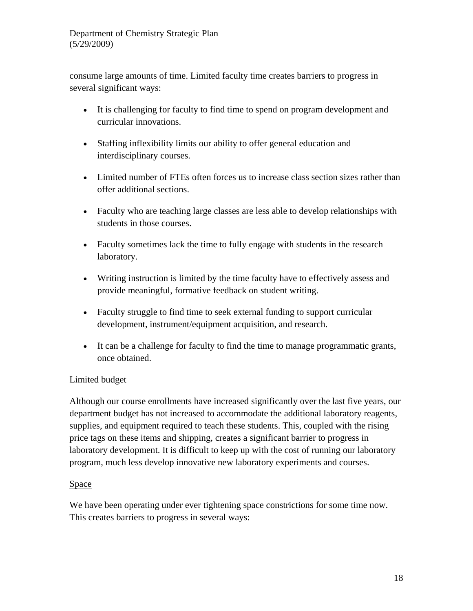consume large amounts of time. Limited faculty time creates barriers to progress in several significant ways:

- It is challenging for faculty to find time to spend on program development and curricular innovations.
- Staffing inflexibility limits our ability to offer general education and interdisciplinary courses.
- Limited number of FTEs often forces us to increase class section sizes rather than offer additional sections.
- Faculty who are teaching large classes are less able to develop relationships with students in those courses.
- Faculty sometimes lack the time to fully engage with students in the research laboratory.
- Writing instruction is limited by the time faculty have to effectively assess and provide meaningful, formative feedback on student writing.
- Faculty struggle to find time to seek external funding to support curricular development, instrument/equipment acquisition, and research.
- It can be a challenge for faculty to find the time to manage programmatic grants, once obtained.

# Limited budget

Although our course enrollments have increased significantly over the last five years, our department budget has not increased to accommodate the additional laboratory reagents, supplies, and equipment required to teach these students. This, coupled with the rising price tags on these items and shipping, creates a significant barrier to progress in laboratory development. It is difficult to keep up with the cost of running our laboratory program, much less develop innovative new laboratory experiments and courses.

## Space

We have been operating under ever tightening space constrictions for some time now. This creates barriers to progress in several ways: